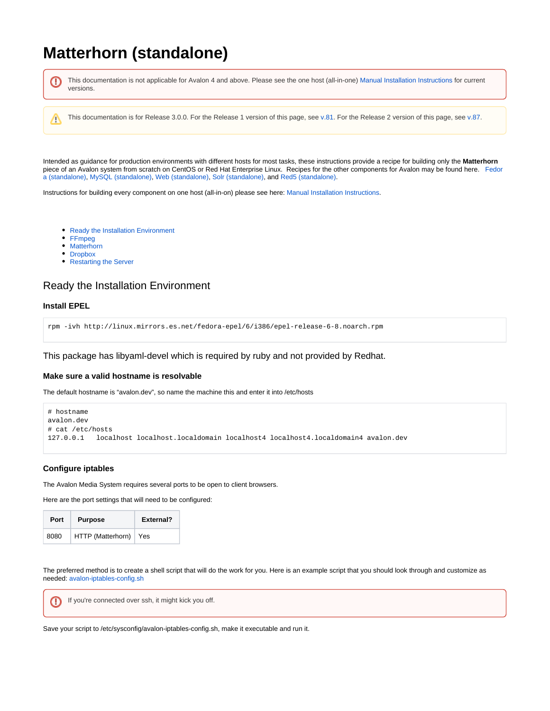# **Matterhorn (standalone)**

This documentation is not applicable for Avalon 4 and above. Please see the one host (all-in-one) [Manual Installation Instructions](https://wiki.dlib.indiana.edu/display/VarVideo/Manual+Installation+Instructions) for current o versions. This documentation is for Release 3.0.0. For the Release 1 version of this page, see [v.81](https://wiki.dlib.indiana.edu/pages/viewpage.action?pageId=516164286). For the Release 2 version of this page, see [v.87.](https://wiki.dlib.indiana.edu/pages/viewpage.action?pageId=517669561) Λ Intended as guidance for production environments with different hosts for most tasks, these instructions provide a recipe for building only the **Matterhorn** piece of an Avalon system from scratch on CentOS or Red Hat Enterprise Linux. Recipes for the other components for Avalon may be found here. [Fedor](https://wiki.dlib.indiana.edu/pages/viewpage.action?pageId=517669910) [a \(standalone\),](https://wiki.dlib.indiana.edu/pages/viewpage.action?pageId=517669910) [MySQL \(standalone\),](https://wiki.dlib.indiana.edu/pages/viewpage.action?pageId=517669941) [Web \(standalone\)](https://wiki.dlib.indiana.edu/pages/viewpage.action?pageId=517669680), [Solr \(standalone\),](https://wiki.dlib.indiana.edu/pages/viewpage.action?pageId=517669662) and [Red5 \(standalone\)](https://wiki.dlib.indiana.edu/pages/viewpage.action?pageId=517669839).

Instructions for building every component on one host (all-in-on) please see here: [Manual Installation Instructions](https://wiki.dlib.indiana.edu/display/VarVideo/Manual+Installation+Instructions).

- [Ready the Installation Environment](#page-0-0)
- [FFmpeg](#page-1-0)
- [Matterhorn](#page-2-0)
- [Dropbox](#page-3-0)
- [Restarting the Server](#page-3-1)

# <span id="page-0-0"></span>Ready the Installation Environment

#### **Install EPEL**

rpm -ivh http://linux.mirrors.es.net/fedora-epel/6/i386/epel-release-6-8.noarch.rpm

This package has libyaml-devel which is required by ruby and not provided by Redhat.

#### **Make sure a valid hostname is resolvable**

The default hostname is "avalon.dev", so name the machine this and enter it into /etc/hosts

```
# hostname
avalon.dev
# cat /etc/hosts
127.0.0.1 localhost localhost.localdomain localhost4 localhost4.localdomain4 avalon.dev
```
#### **Configure iptables**

⊕

The Avalon Media System requires several ports to be open to client browsers.

Here are the port settings that will need to be configured:

| Port | <b>Purpose</b>    | External? |
|------|-------------------|-----------|
| 8080 | HTTP (Matterhorn) | Yes       |

The preferred method is to create a shell script that will do the work for you. Here is an example script that you should look through and customize as needed: [avalon-iptables-config.sh](https://wiki.dlib.indiana.edu/download/attachments/515276965/avalon-iptables-config.sh?version=1&modificationDate=1381245301000&api=v2)

If you're connected over ssh, it might kick you off.

Save your script to /etc/sysconfig/avalon-iptables-config.sh, make it executable and run it.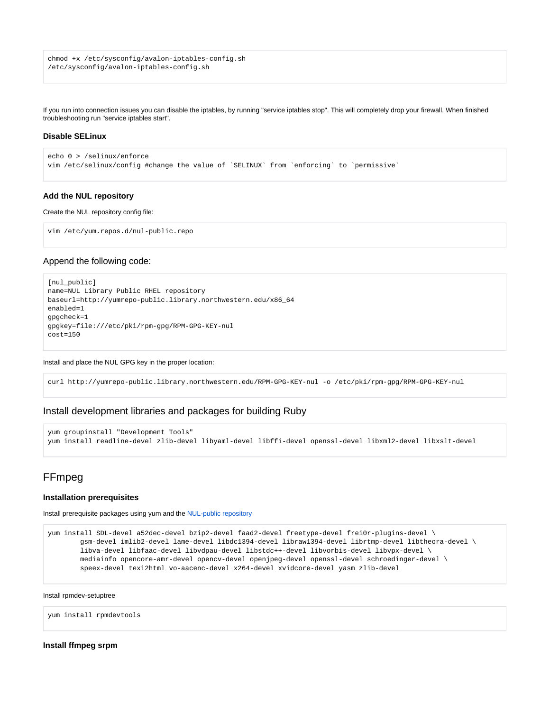chmod +x /etc/sysconfig/avalon-iptables-config.sh /etc/sysconfig/avalon-iptables-config.sh

If you run into connection issues you can disable the iptables, by running "service iptables stop". This will completely drop your firewall. When finished troubleshooting run "service iptables start".

#### **Disable SELinux**

```
echo 0 > /selinux/enforce 
vim /etc/selinux/config #change the value of `SELINUX` from `enforcing` to `permissive`
```
#### <span id="page-1-1"></span>**Add the NUL repository**

Create the NUL repository config file:

```
vim /etc/yum.repos.d/nul-public.repo
```
#### Append the following code:

```
[nul_public]
name=NUL Library Public RHEL repository
baseurl=http://yumrepo-public.library.northwestern.edu/x86_64
enabled=1
gpgcheck=1
gpgkey=file:///etc/pki/rpm-gpg/RPM-GPG-KEY-nul
cost=150
```
Install and place the NUL GPG key in the proper location:

curl http://yumrepo-public.library.northwestern.edu/RPM-GPG-KEY-nul -o /etc/pki/rpm-gpg/RPM-GPG-KEY-nul

# Install development libraries and packages for building Ruby

```
yum groupinstall "Development Tools"
yum install readline-devel zlib-devel libyaml-devel libffi-devel openssl-devel libxml2-devel libxslt-devel
```
# <span id="page-1-0"></span>FFmpeg

#### **Installation prerequisites**

Install prerequisite packages using yum and the [NUL-public repository](#page-1-1)

```
yum install SDL-devel a52dec-devel bzip2-devel faad2-devel freetype-devel frei0r-plugins-devel \
         gsm-devel imlib2-devel lame-devel libdc1394-devel libraw1394-devel librtmp-devel libtheora-devel \
         libva-devel libfaac-devel libvdpau-devel libstdc++-devel libvorbis-devel libvpx-devel \
         mediainfo opencore-amr-devel opencv-devel openjpeg-devel openssl-devel schroedinger-devel \
         speex-devel texi2html vo-aacenc-devel x264-devel xvidcore-devel yasm zlib-devel
```
Install rpmdev-setuptree

yum install rpmdevtools

## **Install ffmpeg srpm**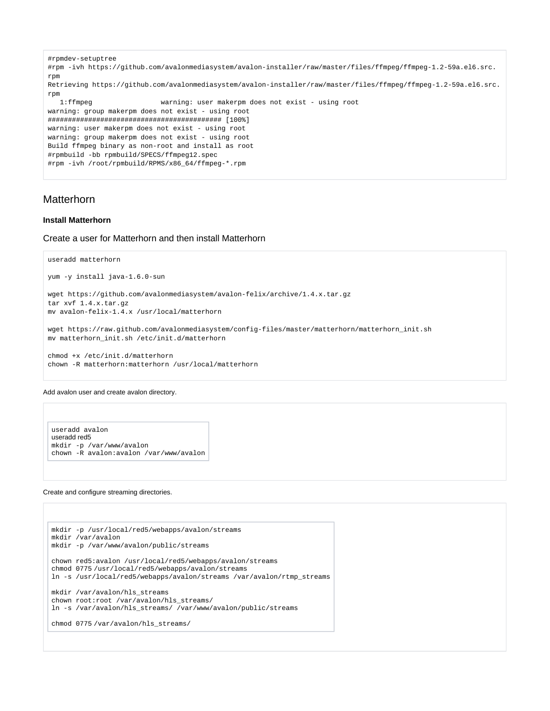```
#rpmdev-setuptree
#rpm -ivh https://github.com/avalonmediasystem/avalon-installer/raw/master/files/ffmpeg/ffmpeg-1.2-59a.el6.src.
rpm
Retrieving https://github.com/avalonmediasystem/avalon-installer/raw/master/files/ffmpeg/ffmpeg-1.2-59a.el6.src.
rpm
   1:ffmpeg warning: user makerpm does not exist - using root
warning: group makerpm does not exist - using root
########################################### [100%]
warning: user makerpm does not exist - using root
warning: group makerpm does not exist - using root
Build ffmpeg binary as non-root and install as root
#rpmbuild -bb rpmbuild/SPECS/ffmpeg12.spec
#rpm -ivh /root/rpmbuild/RPMS/x86_64/ffmpeg-*.rpm
```
# <span id="page-2-0"></span>Matterhorn

#### **Install Matterhorn**

#### Create a user for Matterhorn and then install Matterhorn

```
useradd matterhorn
yum -y install java-1.6.0-sun
wget https://github.com/avalonmediasystem/avalon-felix/archive/1.4.x.tar.gz
tar xvf 1.4.x.tar.gz
mv avalon-felix-1.4.x /usr/local/matterhorn
wget https://raw.github.com/avalonmediasystem/config-files/master/matterhorn/matterhorn_init.sh
mv matterhorn_init.sh /etc/init.d/matterhorn
chmod +x /etc/init.d/matterhorn
chown -R matterhorn:matterhorn /usr/local/matterhorn
```
#### Add avalon user and create avalon directory.

```
useradd avalon
useradd red5
mkdir -p /var/www/avalon
chown -R avalon:avalon /var/www/avalon
```
#### Create and configure streaming directories.

```
mkdir -p /usr/local/red5/webapps/avalon/streams
mkdir /var/avalon
mkdir -p /var/www/avalon/public/streams
chown red5:avalon /usr/local/red5/webapps/avalon/streams
chmod 0775 /usr/local/red5/webapps/avalon/streams
ln -s /usr/local/red5/webapps/avalon/streams /var/avalon/rtmp_streams
mkdir /var/avalon/hls_streams
chown root:root /var/avalon/hls_streams/
ln -s /var/avalon/hls_streams/ /var/www/avalon/public/streams
chmod 0775 /var/avalon/hls_streams/
```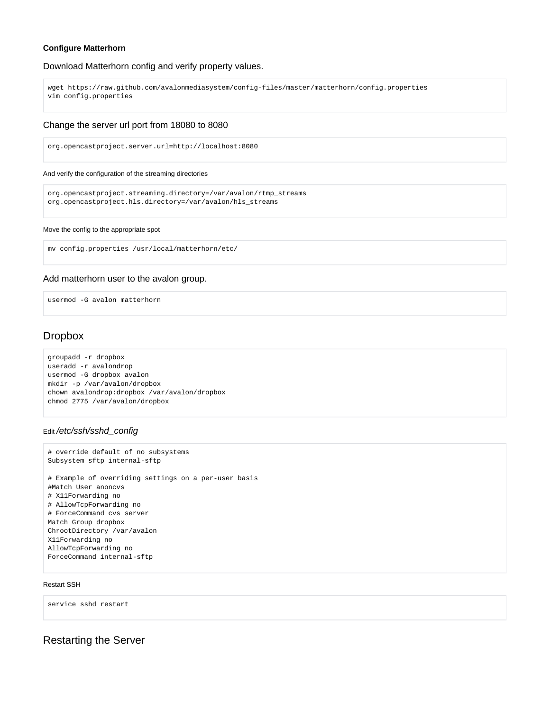#### **Configure Matterhorn**

## Download Matterhorn config and verify property values.

```
wget https://raw.github.com/avalonmediasystem/config-files/master/matterhorn/config.properties
vim config.properties
```
## Change the server url port from 18080 to 8080

org.opencastproject.server.url=http://localhost:8080

#### And verify the configuration of the streaming directories

```
org.opencastproject.streaming.directory=/var/avalon/rtmp_streams
org.opencastproject.hls.directory=/var/avalon/hls_streams
```
#### Move the config to the appropriate spot

```
mv config.properties /usr/local/matterhorn/etc/
```
## Add matterhorn user to the avalon group.

usermod -G avalon matterhorn

# <span id="page-3-0"></span>Dropbox

```
groupadd -r dropbox
useradd -r avalondrop
usermod -G dropbox avalon
mkdir -p /var/avalon/dropbox
chown avalondrop:dropbox /var/avalon/dropbox
chmod 2775 /var/avalon/dropbox
```
# override default of no subsystems

# Edit /etc/ssh/sshd\_config

```
Subsystem sftp internal-sftp
# Example of overriding settings on a per-user basis
#Match User anoncvs
# X11Forwarding no
# AllowTcpForwarding no
# ForceCommand cvs server
Match Group dropbox
ChrootDirectory /var/avalon
X11Forwarding no
AllowTcpForwarding no
ForceCommand internal-sftp
```
#### Restart SSH

service sshd restart

<span id="page-3-1"></span>Restarting the Server